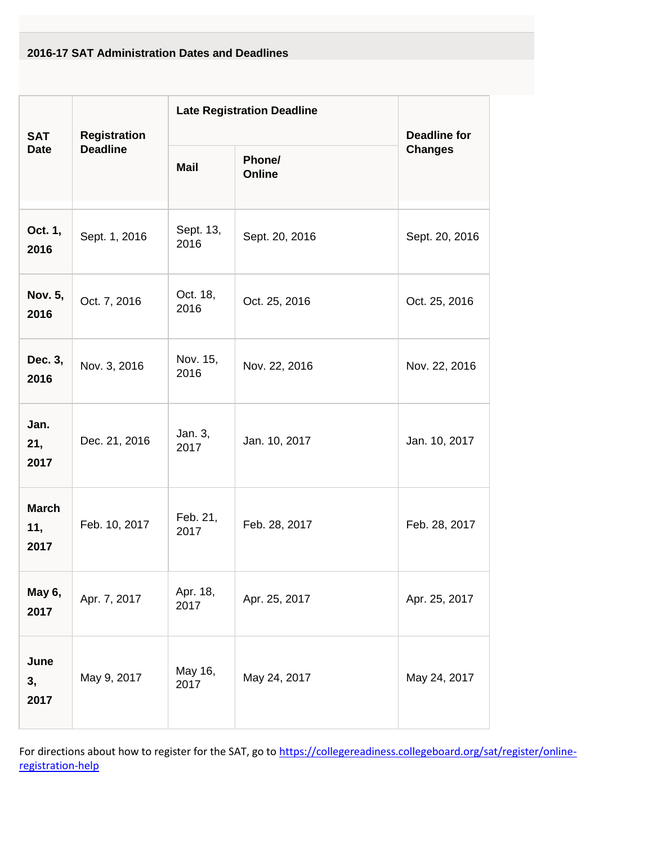## **2016-17 SAT Administration Dates and Deadlines**

| <b>SAT</b><br><b>Date</b>   | <b>Registration</b><br><b>Deadline</b> | <b>Late Registration Deadline</b> |                  | <b>Deadline for</b> |
|-----------------------------|----------------------------------------|-----------------------------------|------------------|---------------------|
|                             |                                        | <b>Mail</b>                       | Phone/<br>Online | <b>Changes</b>      |
| Oct. 1,<br>2016             | Sept. 1, 2016                          | Sept. 13,<br>2016                 | Sept. 20, 2016   | Sept. 20, 2016      |
| Nov. 5,<br>2016             | Oct. 7, 2016                           | Oct. 18,<br>2016                  | Oct. 25, 2016    | Oct. 25, 2016       |
| Dec. 3,<br>2016             | Nov. 3, 2016                           | Nov. 15,<br>2016                  | Nov. 22, 2016    | Nov. 22, 2016       |
| Jan.<br>21,<br>2017         | Dec. 21, 2016                          | Jan. 3,<br>2017                   | Jan. 10, 2017    | Jan. 10, 2017       |
| <b>March</b><br>11,<br>2017 | Feb. 10, 2017                          | Feb. 21,<br>2017                  | Feb. 28, 2017    | Feb. 28, 2017       |
| May 6,<br>2017              | Apr. 7, 2017                           | Apr. 18,<br>2017                  | Apr. 25, 2017    | Apr. 25, 2017       |
| June<br>3,<br>2017          | May 9, 2017                            | May 16,<br>2017                   | May 24, 2017     | May 24, 2017        |

For directions about how to register for the SAT, go to [https://collegereadiness.collegeboard.org/sat/register/online](https://collegereadiness.collegeboard.org/sat/register/online-registration-help)[registration-help](https://collegereadiness.collegeboard.org/sat/register/online-registration-help)